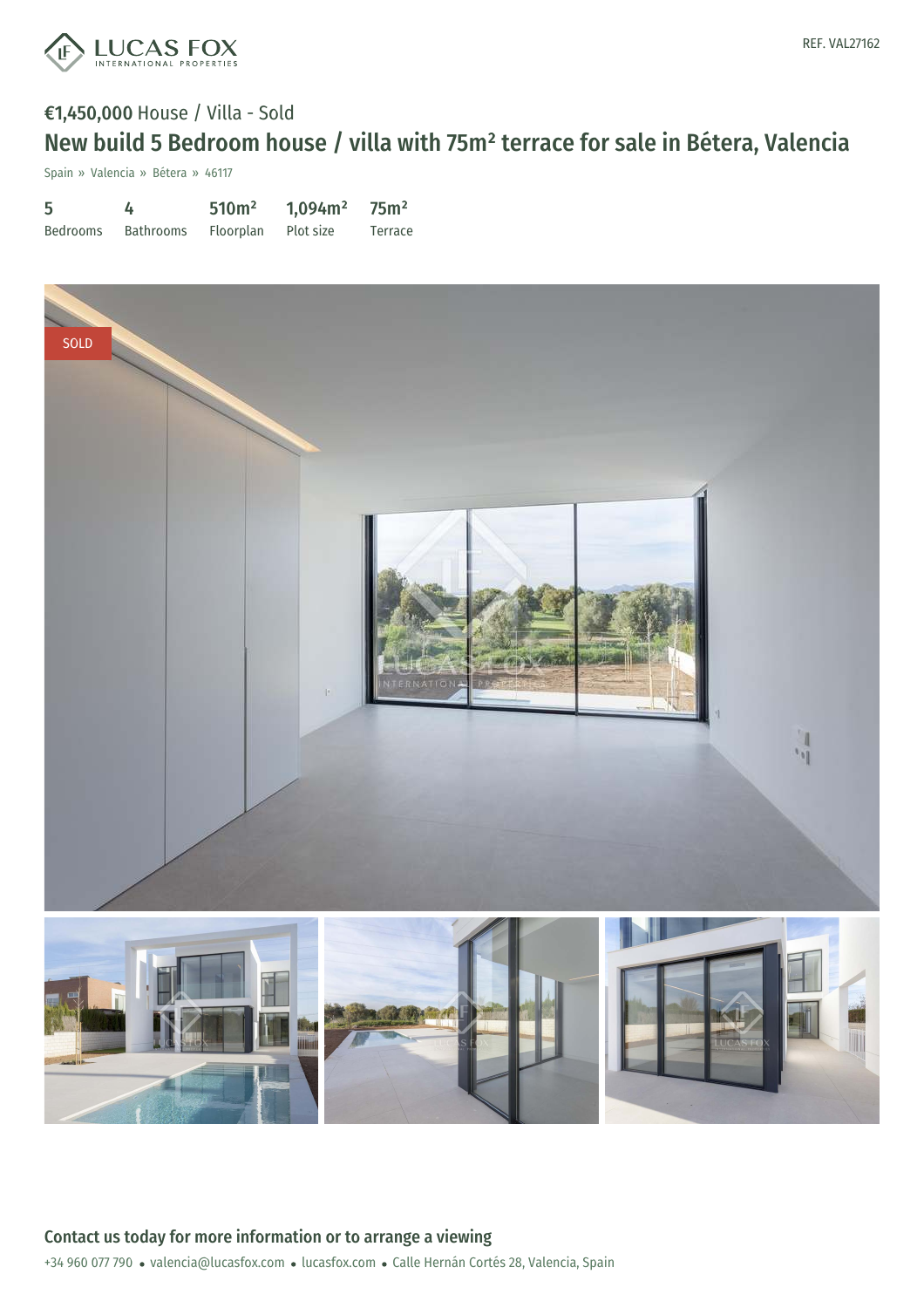

# €1,450,000 House / Villa - Sold New build 5 Bedroom house / villa with 75m² terrace for sale in Bétera, Valencia

Spain » Valencia » Bétera » 46117

| 5        | 4         | 510 <sup>m²</sup> | 1,094m <sup>2</sup> | 75m <sup>2</sup> |
|----------|-----------|-------------------|---------------------|------------------|
| Bedrooms | Bathrooms | Floorplan         | Plot size           | Terrace          |

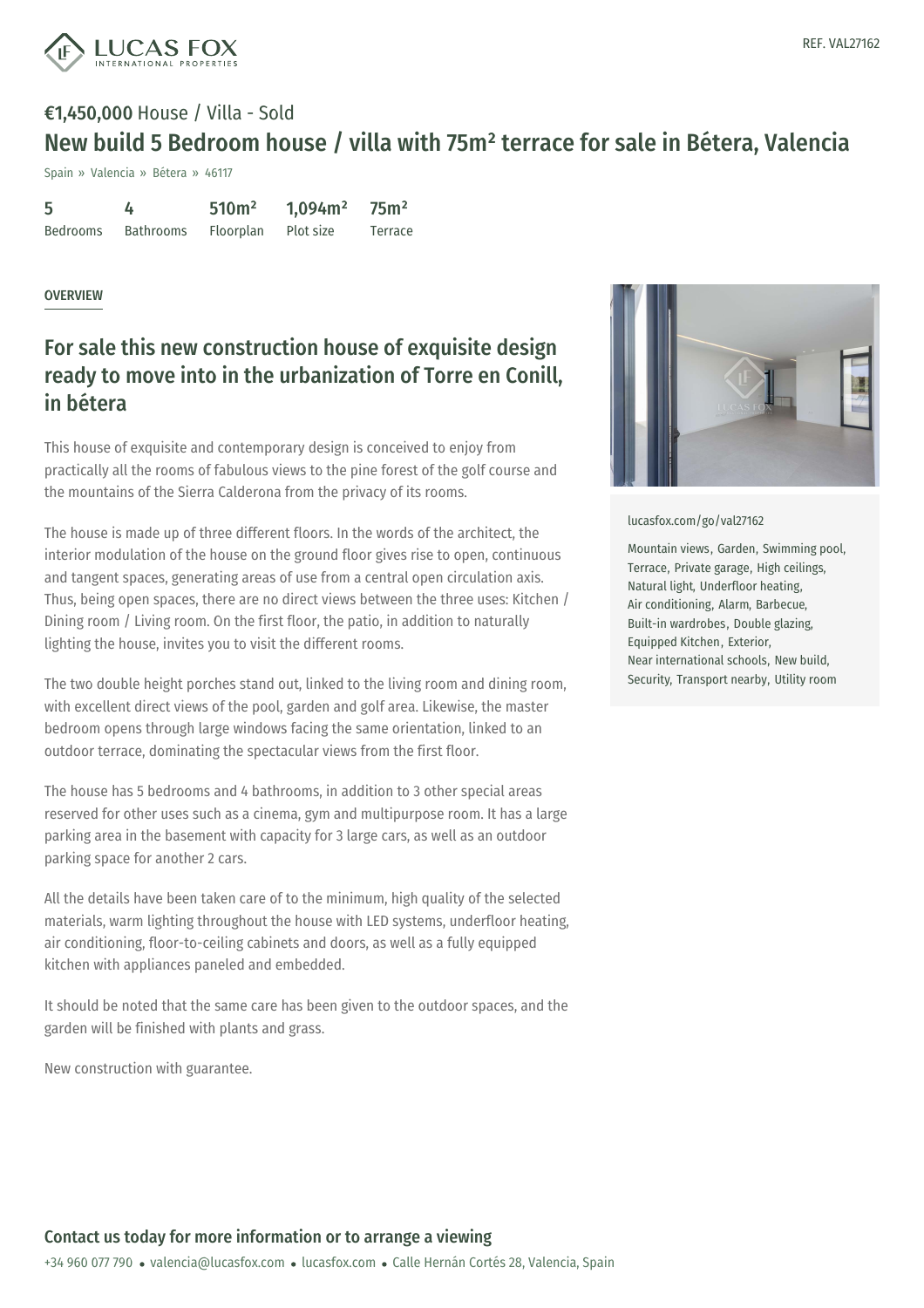

## €1,450,000 House / Villa - Sold New build 5 Bedroom house / villa with 75m² terrace for sale in Bétera, Valencia

Spain » Valencia » Bétera » 46117

| 5               |           | 510 <sup>m²</sup> | 1,094m <sup>2</sup> | 75m <sup>2</sup> |
|-----------------|-----------|-------------------|---------------------|------------------|
| <b>Bedrooms</b> | Bathrooms | Floorplan         | Plot size           | Terrace          |

### OVERVIEW

### For sale this new construction house of exquisite design ready to move into in the urbanization of Torre en Conill, in bétera

This house of exquisite and contemporary design is conceived to enjoy from practically all the rooms of fabulous views to the pine forest of the golf course and the mountains of the Sierra Calderona from the privacy of its rooms.

The house is made up of three different floors. In the words of the architect, the interior modulation of the house on the ground floor gives rise to open, continuous and tangent spaces, generating areas of use from a central open circulation axis. Thus, being open spaces, there are no direct views between the three uses: Kitchen / Dining room / Living room. On the first floor, the patio, in addition to naturally lighting the house, invites you to visit the different rooms.

The two double height porches stand out, linked to the living room and dining room, with excellent direct views of the pool, garden and golf area. Likewise, the master bedroom opens through large windows facing the same orientation, linked to an outdoor terrace, dominating the spectacular views from the first floor.

The house has 5 bedrooms and 4 bathrooms, in addition to 3 other special areas reserved for other uses such as a cinema, gym and multipurpose room. It has a large parking area in the basement with capacity for 3 large cars, as well as an outdoor parking space for another 2 cars.

All the details have been taken care of to the minimum, high quality of the selected materials, warm lighting throughout the house with LED systems, underfloor heating, air conditioning, floor-to-ceiling cabinets and doors, as well as a fully equipped kitchen with appliances [paneled](mailto:valencia@lucasfox.com) and em[bedded.](https://www.lucasfox.com)

It should be noted that the same care has been given to the outdoor spaces, and the garden will be finished with plants and grass.

New construction with guarantee.



#### [lucasfox.com/go/val27162](https://www.lucasfox.com/go/val27162)

Mountain views, Garden, Swimming pool, Terrace, Private garage, High ceilings, Natural light, Underfloor heating, Air conditioning, Alarm, Barbecue, Built-in wardrobes, Double glazing, Equipped Kitchen, Exterior, Near international schools, New build, Security, Transport nearby, Utility room